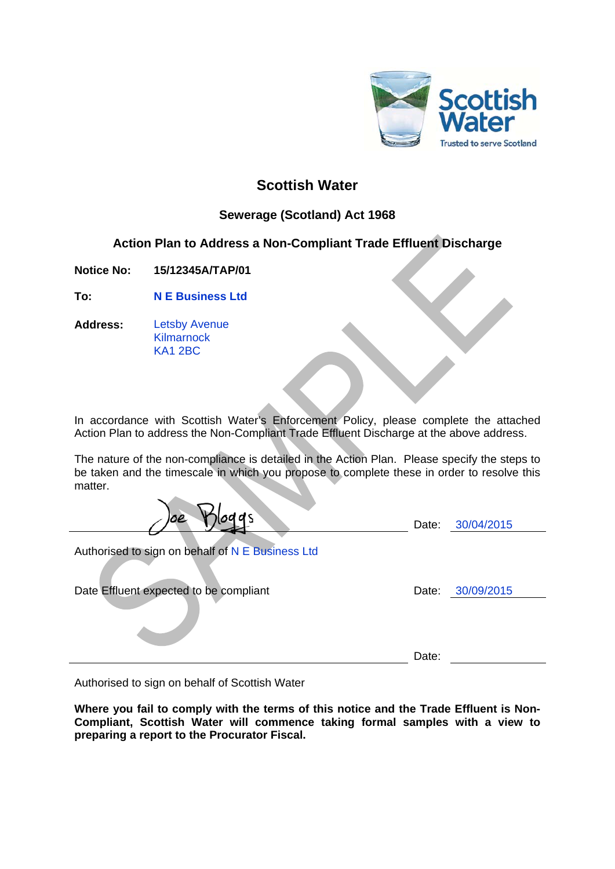

# **Scottish Water**

## **Sewerage (Scotland) Act 1968**

## **Action Plan to Address a Non-Compliant Trade Effluent Discharge**

**Notice No: 15/12345A/TAP/01**

**To: N E Business Ltd**

**Address:** Letsby Avenue **Kilmarnock** KA1 2BC

In accordance with Scottish Water's Enforcement Policy, please complete the attached Action Plan to address the Non-Compliant Trade Effluent Discharge at the above address.

The nature of the non-compliance is detailed in the Action Plan. Please specify the steps to be taken and the timescale in which you propose to complete these in order to resolve this matter.

Date: 30/04/2015

Authorised to sign on behalf of N E Business Ltd

Date Effluent expected to be compliant Date:  $\blacksquare$ 

| Date: | 30/09/2015 |
|-------|------------|
|       |            |

Date:

Authorised to sign on behalf of Scottish Water

**Where you fail to comply with the terms of this notice and the Trade Effluent is Non-Compliant, Scottish Water will commence taking formal samples with a view to preparing a report to the Procurator Fiscal.**